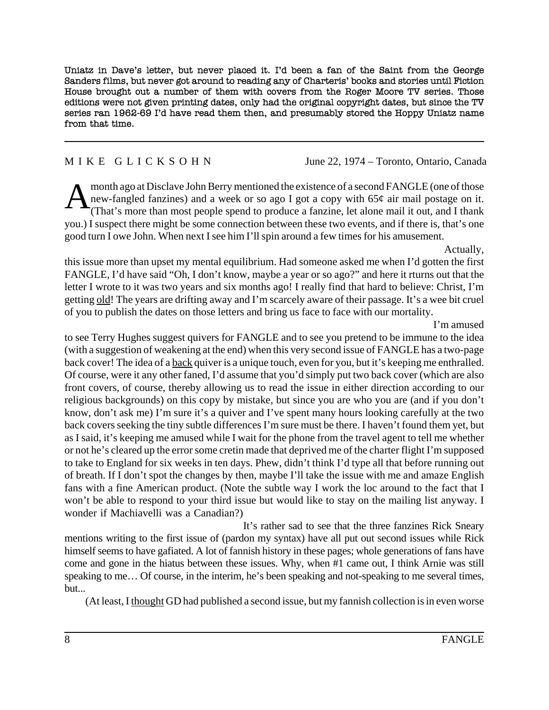Uniatz in Dave's letter, but never placed it. I'd been a fan of the Saint from the George Sanders films, but never got around to reading any of Charteris' books and stories until Fiction House brought out a number of them with covers from the Roger Moore TV series. Those editions were not given printing dates, only had the original copyright dates, but since the TV series ran 1962-69 I'd have read them then, and presumably stored the Hoppy Uniatz name from that time.

M I K E G L I C K S O H N June 22, 1974 – Toronto, Ontario, Canada

Amonth ago at Disclave John Berry mentioned the existence of a second FANGLE (one of those<br>new-fangled fanzines) and a week or so ago I got a copy with  $65¢$  air mail postage on it.<br>(That's more than most people spend to new-fangled fanzines) and a week or so ago I got a copy with 65¢ air mail postage on it. (That's more than most people spend to produce a fanzine, let alone mail it out, and I thank you.) I suspect there might be some connection between these two events, and if there is, that's one good turn I owe John. When next I see him I'll spin around a few times for his amusement.

Actually,

this issue more than upset my mental equilibrium. Had someone asked me when I'd gotten the first FANGLE, I'd have said "Oh, I don't know, maybe a year or so ago?" and here it rturns out that the letter I wrote to it was two years and six months ago! I really find that hard to believe: Christ, I'm getting old! The years are drifting away and I'm scarcely aware of their passage. It's a wee bit cruel of you to publish the dates on those letters and bring us face to face with our mortality.

I'm amused

to see Terry Hughes suggest quivers for FANGLE and to see you pretend to be immune to the idea (with a suggestion of weakening at the end) when this very second issue of FANGLE has a two-page back cover! The idea of a back quiver is a unique touch, even for you, but it's keeping me enthralled. Of course, were it any other faned, I'd assume that you'd simply put two back cover (which are also front covers, of course, thereby allowing us to read the issue in either direction according to our religious backgrounds) on this copy by mistake, but since you are who you are (and if you don't know, don't ask me) I'm sure it's a quiver and I've spent many hours looking carefully at the two back covers seeking the tiny subtle differences I'm sure must be there. I haven't found them yet, but as I said, it's keeping me amused while I wait for the phone from the travel agent to tell me whether or not he's cleared up the error some cretin made that deprived me of the charter flight I'm supposed to take to England for six weeks in ten days. Phew, didn't think I'd type all that before running out of breath. If I don't spot the changes by then, maybe I'll take the issue with me and amaze English fans with a fine American product. (Note the subtle way I work the loc around to the fact that I won't be able to respond to your third issue but would like to stay on the mailing list anyway. I wonder if Machiavelli was a Canadian?)

It's rather sad to see that the three fanzines Rick Sneary mentions writing to the first issue of (pardon my syntax) have all put out second issues while Rick himself seems to have gafiated. A lot of fannish history in these pages; whole generations of fans have come and gone in the hiatus between these issues. Why, when #1 came out, I think Arnie was still speaking to me... Of course, in the interim, he's been speaking and not-speaking to me several times, but...

(At least, I thought GD had published a second issue, but my fannish collection is in even worse